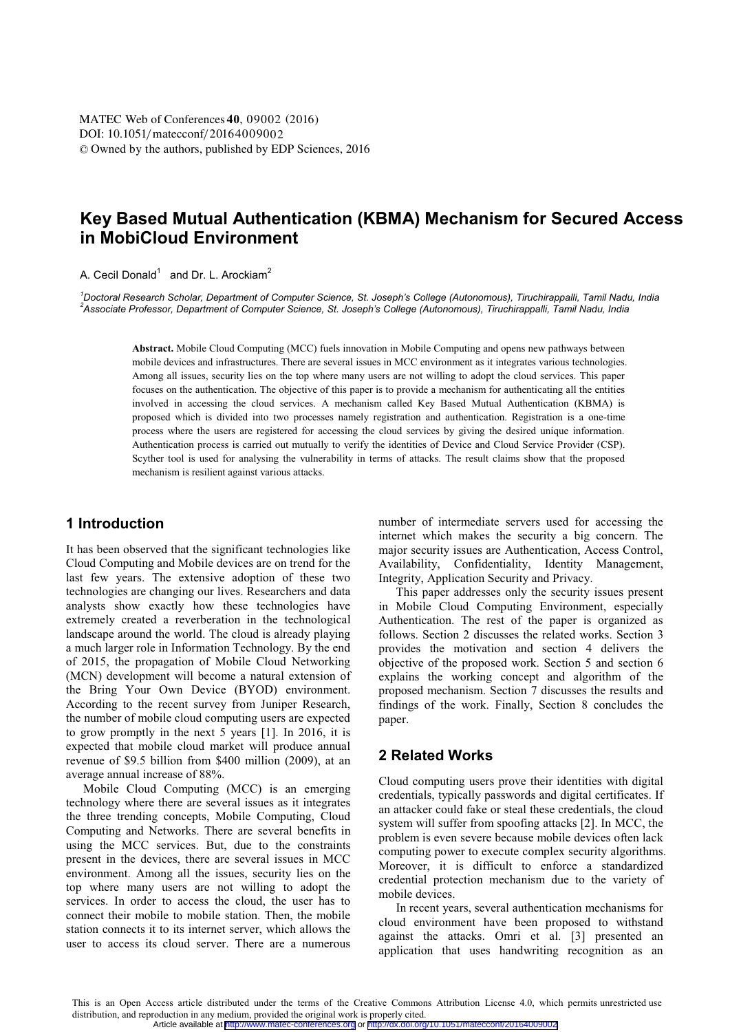DOI: 10.1051/matecconf/20164009002 © Owned by the authors, published by EDP Sciences, 2016 MATEC Web of Conferences 40, 09002 (2016)

# **Key Based Mutual Authentication (KBMA) Mechanism for Secured Access in MobiCloud Environment**

A. Cecil Donald<sup>1</sup> and Dr. L. Arockiam<sup>2</sup>

*1 Doctoral Research Scholar, Department of Computer Science, St. Joseph's College (Autonomous), Tiruchirappalli, Tamil Nadu, India 2 Associate Professor, Department of Computer Science, St. Joseph's College (Autonomous), Tiruchirappalli, Tamil Nadu, India*

**Abstract.** Mobile Cloud Computing (MCC) fuels innovation in Mobile Computing and opens new pathways between mobile devices and infrastructures. There are several issues in MCC environment as it integrates various technologies. Among all issues, security lies on the top where many users are not willing to adopt the cloud services. This paper focuses on the authentication. The objective of this paper is to provide a mechanism for authenticating all the entities involved in accessing the cloud services. A mechanism called Key Based Mutual Authentication (KBMA) is proposed which is divided into two processes namely registration and authentication. Registration is a one-time process where the users are registered for accessing the cloud services by giving the desired unique information. Authentication process is carried out mutually to verify the identities of Device and Cloud Service Provider (CSP). Scyther tool is used for analysing the vulnerability in terms of attacks. The result claims show that the proposed mechanism is resilient against various attacks.

# **1 Introduction**

It has been observed that the significant technologies like Cloud Computing and Mobile devices are on trend for the last few years. The extensive adoption of these two technologies are changing our lives. Researchers and data analysts show exactly how these technologies have extremely created a reverberation in the technological landscape around the world. The cloud is already playing a much larger role in Information Technology. By the end of 2015, the propagation of Mobile Cloud Networking (MCN) development will become a natural extension of the Bring Your Own Device (BYOD) environment. According to the recent survey from Juniper Research, the number of mobile cloud computing users are expected to grow promptly in the next 5 years [1]. In 2016, it is expected that mobile cloud market will produce annual revenue of \$9.5 billion from \$400 million (2009), at an average annual increase of 88%.

Mobile Cloud Computing (MCC) is an emerging technology where there are several issues as it integrates the three trending concepts, Mobile Computing, Cloud Computing and Networks. There are several benefits in using the MCC services. But, due to the constraints present in the devices, there are several issues in MCC environment. Among all the issues, security lies on the top where many users are not willing to adopt the services. In order to access the cloud, the user has to connect their mobile to mobile station. Then, the mobile station connects it to its internet server, which allows the user to access its cloud server. There are a numerous

number of intermediate servers used for accessing the internet which makes the security a big concern. The major security issues are Authentication, Access Control, Availability, Confidentiality, Identity Management, Integrity, Application Security and Privacy.

This paper addresses only the security issues present in Mobile Cloud Computing Environment, especially Authentication. The rest of the paper is organized as follows. Section 2 discusses the related works. Section 3 provides the motivation and section 4 delivers the objective of the proposed work. Section 5 and section 6 explains the working concept and algorithm of the proposed mechanism. Section 7 discusses the results and findings of the work. Finally, Section 8 concludes the paper.

# **2 Related Works**

Cloud computing users prove their identities with digital credentials, typically passwords and digital certificates. If an attacker could fake or steal these credentials, the cloud system will suffer from spoofing attacks [2]. In MCC, the problem is even severe because mobile devices often lack computing power to execute complex security algorithms. Moreover, it is difficult to enforce a standardized credential protection mechanism due to the variety of mobile devices.

In recent years, several authentication mechanisms for cloud environment have been proposed to withstand against the attacks. Omri et al. [3] presented an application that uses handwriting recognition as an

This is an Open Access article distributed under the terms of the Creative Commons Attribution License 4.0, which permits unrestricted use distribution, and reproduction in any medium, provided the original work is properly cited. Article available at <http://www.matec-conferences.org> or <http://dx.doi.org/10.1051/matecconf/20164009002>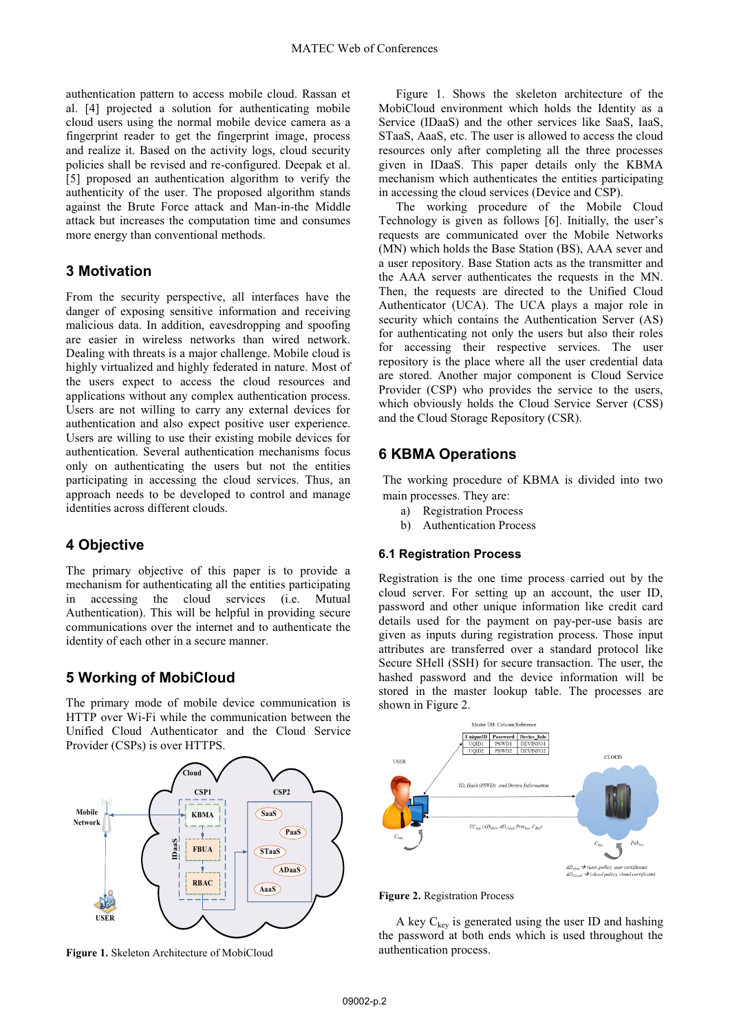authentication pattern to access mobile cloud. Rassan et al. [4] projected a solution for authenticating mobile cloud users using the normal mobile device camera as a fingerprint reader to get the fingerprint image, process and realize it. Based on the activity logs, cloud security policies shall be revised and re-configured. Deepak et al. [5] proposed an authentication algorithm to verify the authenticity of the user. The proposed algorithm stands against the Brute Force attack and Man-in-the Middle attack but increases the computation time and consumes more energy than conventional methods.

# **3 Motivation**

From the security perspective, all interfaces have the danger of exposing sensitive information and receiving malicious data. In addition, eavesdropping and spoofing are easier in wireless networks than wired network. Dealing with threats is a major challenge. Mobile cloud is highly virtualized and highly federated in nature. Most of the users expect to access the cloud resources and applications without any complex authentication process. Users are not willing to carry any external devices for authentication and also expect positive user experience. Users are willing to use their existing mobile devices for authentication. Several authentication mechanisms focus only on authenticating the users but not the entities participating in accessing the cloud services. Thus, an approach needs to be developed to control and manage identities across different clouds.

# **4 Objective**

The primary objective of this paper is to provide a mechanism for authenticating all the entities participating in accessing the cloud services (i.e. Mutual Authentication). This will be helpful in providing secure communications over the internet and to authenticate the identity of each other in a secure manner.

# **5 Working of MobiCloud**

The primary mode of mobile device communication is HTTP over Wi-Fi while the communication between the Unified Cloud Authenticator and the Cloud Service Provider (CSPs) is over HTTPS.



**Figure 1.** Skeleton Architecture of MobiCloud

Figure 1. Shows the skeleton architecture of the MobiCloud environment which holds the Identity as a Service (IDaaS) and the other services like SaaS, IaaS, STaaS, AaaS, etc. The user is allowed to access the cloud resources only after completing all the three processes given in IDaaS. This paper details only the KBMA mechanism which authenticates the entities participating in accessing the cloud services (Device and CSP).

The working procedure of the Mobile Cloud Technology is given as follows [6]. Initially, the user's requests are communicated over the Mobile Networks (MN) which holds the Base Station (BS), AAA sever and a user repository. Base Station acts as the transmitter and the AAA server authenticates the requests in the MN. Then, the requests are directed to the Unified Cloud Authenticator (UCA). The UCA plays a major role in security which contains the Authentication Server (AS) for authenticating not only the users but also their roles for accessing their respective services. The user repository is the place where all the user credential data are stored. Another major component is Cloud Service Provider (CSP) who provides the service to the users, which obviously holds the Cloud Service Server (CSS) and the Cloud Storage Repository (CSR).

# **6 KBMA Operations**

The working procedure of KBMA is divided into two main processes. They are:

- a) Registration Process
- b) Authentication Process

#### **6.1 Registration Process**

Registration is the one time process carried out by the cloud server. For setting up an account, the user ID, password and other unique information like credit card details used for the payment on pay-per-use basis are given as inputs during registration process. Those input attributes are transferred over a standard protocol like Secure SHell (SSH) for secure transaction. The user, the hashed password and the device information will be stored in the master lookup table. The processes are shown in Figure 2.



**Figure 2.** Registration Process

A key  $C_{\text{kev}}$  is generated using the user ID and hashing the password at both ends which is used throughout the authentication process.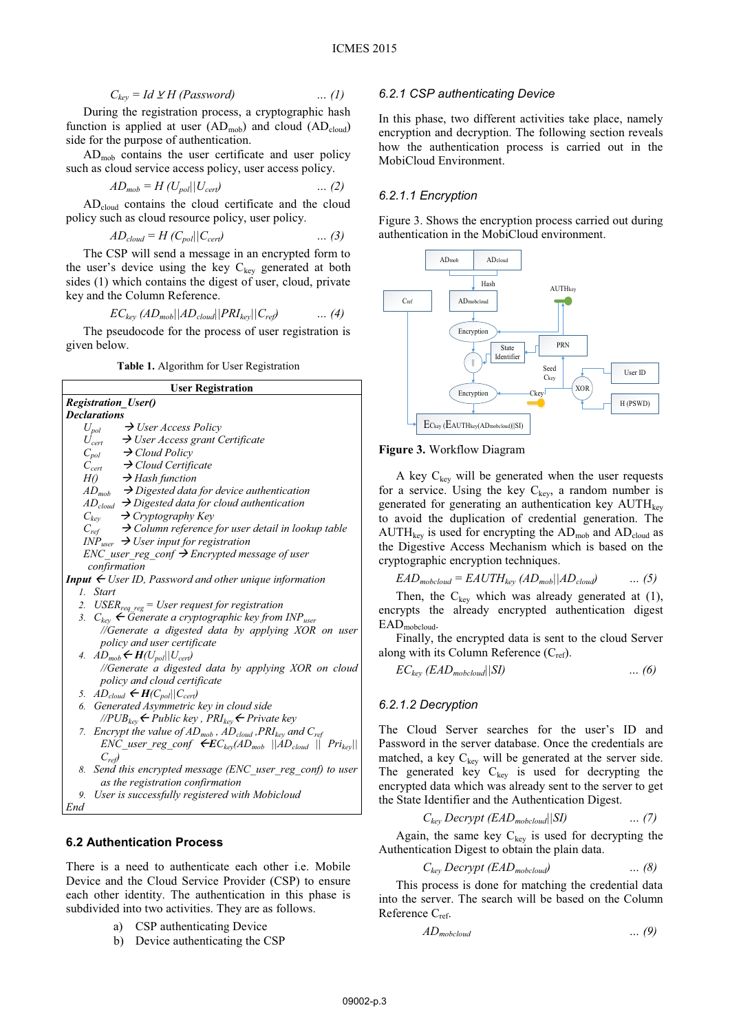$$
C_{key} = Id \vee H \ (Password) \qquad \qquad \dots (1)
$$

During the registration process, a cryptographic hash function is applied at user  $(AD_{\text{mob}})$  and cloud  $(AD_{\text{cloud}})$ side for the purpose of authentication.

ADmob contains the user certificate and user policy such as cloud service access policy, user access policy.

$$
AD_{mob} = H\left(\frac{U_{pol}}{U_{cert}}\right) \qquad \qquad \dots (2)
$$

ADcloud contains the cloud certificate and the cloud policy such as cloud resource policy, user policy.

$$
AD_{cloud} = H(C_{pol}||C_{cert}) \qquad \qquad \dots (3)
$$

The CSP will send a message in an encrypted form to the user's device using the key  $C_{key}$  generated at both sides (1) which contains the digest of user, cloud, private key and the Column Reference.

$$
EC_{key} (AD_{mob}||AD_{cloud}||PRI_{key}||C_{ref}) \qquad \dots (4)
$$

 The pseudocode for the process of user registration is given below.

**Table 1.** Algorithm for User Registration

| <b>User Registration</b>                                                         |              |
|----------------------------------------------------------------------------------|--------------|
| <b>Registration_User()</b>                                                       |              |
| <b>Declarations</b>                                                              |              |
| $\rightarrow$ User Access Policy<br>$U_{pol}$                                    |              |
| $\rightarrow$ User Access grant Certificate<br>$U_{\text{cert}}$                 |              |
| $C_{pol}$ $\rightarrow$ Cloud Policy                                             | I            |
| $C_{cert}$ $\rightarrow$ Cloud Certificate                                       |              |
| $H() \longrightarrow$ Hash function                                              |              |
| $AD_{mob}$ $\rightarrow$ Digested data for device authentication                 | $\mathbf f$  |
| $AD_{cloud}$ $\rightarrow$ Digested data for cloud authentication                | g            |
| $C_{key}$<br>$\rightarrow$ Cryptography Key                                      | t            |
| $\rightarrow$ Column reference for user detail in lookup table<br>$C_{ref}$      | F            |
| $INPuser \rightarrow User input for registration$                                | $\mathbf{t}$ |
| ENC user reg conf $\rightarrow$ Encrypted message of user                        | C            |
| confirmation                                                                     |              |
| <b>Input</b> $\leftarrow$ User ID, Password and other unique information         |              |
| 1. Start                                                                         |              |
| $\text{USER}_{\text{req\_reg}} = \text{User request}$ for registration<br>2.     | e            |
| 3. $C_{key}$ $\leftarrow$ Generate a cryptographic key from INP <sub>user</sub>  | F            |
| //Generate a digested data by applying XOR on user                               |              |
| policy and user certificate                                                      |              |
| 4. $AD_{mob} \leftarrow H(U_{pol}  U_{cert})$                                    | a            |
| //Generate a digested data by applying XOR on cloud                              |              |
| policy and cloud certificate                                                     |              |
| 5. $AD_{cloud} \leftarrow H(C_{pol}    C_{cert})$                                |              |
| 6. Generated Asymmetric key in cloud side                                        | в            |
| // $PUB_{key} \leftarrow$ Public key, $PRI_{key} \leftarrow$ Private key         | ٦            |
| Encrypt the value of $AD_{mob}$ , $AD_{cloud}$ , $PRI_{key}$ and $C_{ref}$<br>7. |              |
| $ENC\_user\_reg\_conf \leftarrow EC_{key}(AD_{mob}   AD_{cloud}    Pri_{key}   $ | F            |
| $C_{ref}$                                                                        | ľ.           |
| 8. Send this encrypted message (ENC_user_reg_conf) to user                       | I            |
| as the registration confirmation                                                 | e            |
| 9. User is successfully registered with Mobicloud                                | ť            |

*End*

### **6.2 Authentication Process**

There is a need to authenticate each other i.e. Mobile Device and the Cloud Service Provider (CSP) to ensure each other identity. The authentication in this phase is subdivided into two activities. They are as follows.

- a) CSP authenticating Device
- b) Device authenticating the CSP

### *6.2.1 CSP authenticating Device*

In this phase, two different activities take place, namely encryption and decryption. The following section reveals how the authentication process is carried out in the MobiCloud Environment.

### *6.2.1.1 Encryption*

Figure 3. Shows the encryption process carried out during authentication in the MobiCloud environment.



#### **Figure 3.** Workflow Diagram

A key  $C_{key}$  will be generated when the user requests for a service. Using the key  $C_{\text{kev}}$ , a random number is generated for generating an authentication key  $\text{AUTH}_{\text{kev}}$ o avoid the duplication of credential generation. The  $\text{AUTH}_{\text{key}}$  is used for encrypting the  $\text{AD}_{\text{mod}}$  and  $\text{AD}_{\text{cloud}}$  as he Digestive Access Mechanism which is based on the cryptographic encryption techniques.

$$
EAD_{\text{mobcloud}} = EAUTH_{key} (AD_{\text{mob}}||AD_{cloud}) \qquad \dots (5)
$$

Then, the  $C_{key}$  which was already generated at (1), encrypts the already encrypted authentication digest  $\mathrm{EAD}_{\mathrm{mobcloud}}.$ 

Finally, the encrypted data is sent to the cloud Server long with its Column Reference  $(C_{ref})$ .

$$
EC_{key} (EAD_{mobcloud}||SI)
$$
 ... (6)

### *6.2.1.2 Decryption*

The Cloud Server searches for the user's ID and Password in the server database. Once the credentials are matched, a key  $C_{key}$  will be generated at the server side. The generated key  $C_{\text{key}}$  is used for decrypting the encrypted data which was already sent to the server to get the State Identifier and the Authentication Digest.

$$
C_{key} \text{Decrypt} (EAD_{\text{mobcloud}} || SI) \qquad \qquad \dots (7)
$$

Again, the same key  $C_{key}$  is used for decrypting the Authentication Digest to obtain the plain data.

$$
C_{key} \text{Decrypt} (EAD_{\text{mobcloud}}) \qquad \qquad \dots (8)
$$

This process is done for matching the credential data into the server. The search will be based on the Column Reference C<sub>ref</sub>.

$$
AD_{\text{mobcloud}} \qquad \qquad \dots \qquad (9)
$$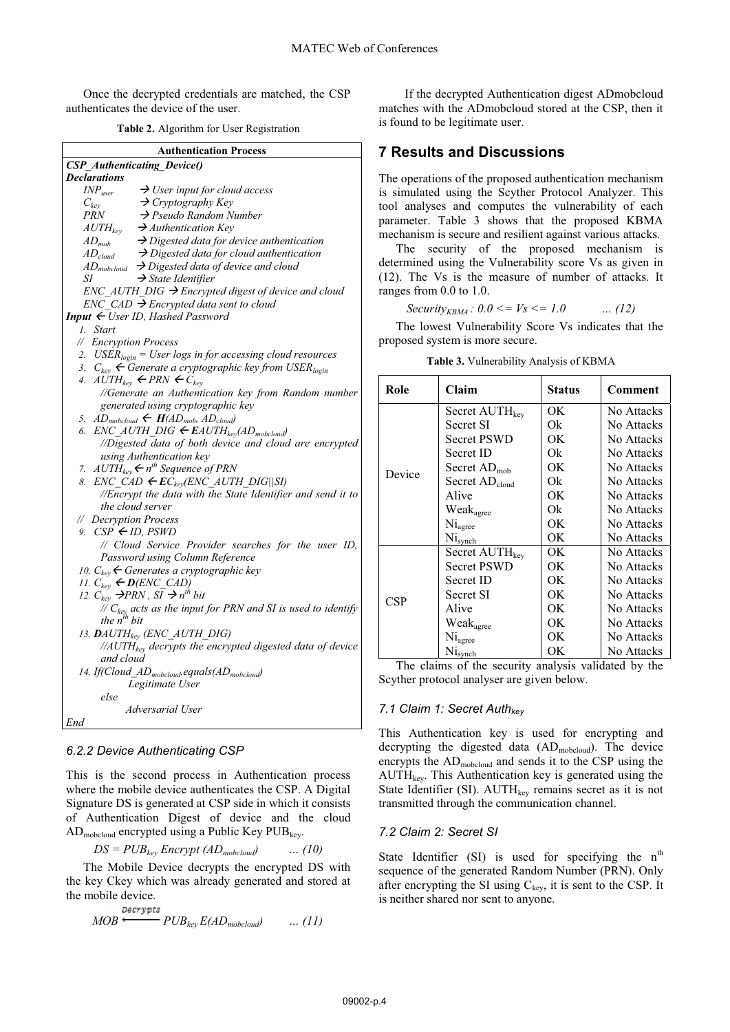Once the decrypted credentials are matched, the CSP authenticates the device of the user.

**Table 2.** Algorithm for User Registration

| <b>Authentication Process</b>                                                          |
|----------------------------------------------------------------------------------------|
| <b>CSP_Authenticating_Device()</b>                                                     |
| <b>Declarations</b>                                                                    |
| $\rightarrow$ User input for cloud access<br>$\emph{INP}_{user}$                       |
| $\rightarrow$ Cryptography Key<br>$C_{kev}$                                            |
| $\rightarrow$ Pseudo Random Number<br>PRN                                              |
| $\rightarrow$ Authentication Key<br>$\mathit{AUTH}_{key}$                              |
| $\rightarrow$ Digested data for device authentication<br>$AD_{mob}$                    |
| $\rightarrow$ Digested data for cloud authentication<br>$AD_{cloud}$                   |
| $AD_{mobcloud}$ $\rightarrow$ Digested data of device and cloud                        |
| $\rightarrow$ State Identifier<br>SΙ                                                   |
| $ENC\_AUTH\_DIG \rightarrow Encyclopedia$ digest of device and cloud                   |
| $ENC$ CAD $\rightarrow$ Encrypted data sent to cloud                                   |
| Input $\leftarrow$ User ID, Hashed Password                                            |
| 1. Start                                                                               |
| // Encryption Process                                                                  |
| 2. USER <sub>login</sub> = User logs in for accessing cloud resources                  |
| 3. $C_{\text{kev}} \leftarrow$ Generate a cryptographic key from USER <sub>login</sub> |
| 4. $AUTH_{kev} \leftarrow PRN \leftarrow C_{kev}$                                      |
| //Generate an Authentication key from Random number                                    |
| generated using cryptographic key                                                      |
| 5. $AD_{mobcloud} \leftarrow H(AD_{mob}, AD_{cloud})$                                  |
| $ENC\_AUTH\_DIG \leftarrow EAUTH_{key}(AD_{mobcloud})$<br>6.                           |
| //Digested data of both device and cloud are encrypted                                 |
| using Authentication key                                                               |
| 7. $AUTH_{\text{kev}} \leftarrow n^{\text{th}}$ Sequence of PRN                        |
| 8. $ENC\_CAD \leftarrow EC_{key}(ENC\_AUTH\_DIG  SI)$                                  |
| //Encrypt the data with the State Identifier and send it to                            |
| the cloud server                                                                       |
| // Decryption Process                                                                  |
| 9. $CSP \leftarrow ID$ , $PSWD$                                                        |
| // Cloud Service Provider searches for the user ID,                                    |
| Password using Column Reference                                                        |
| 10. $C_{\text{kev}}$ $\leftarrow$ Generates a cryptographic key                        |
| 11. $C_{key} \leftarrow \mathbf{D}(ENC\_CAD)$                                          |
| 12. $C_{key}$ $\rightarrow$ PRN, $SI \rightarrow n^{th}$ bit                           |
| // $C_{key}$ acts as the input for PRN and SI is used to identify                      |
| the $n^{th}$ bit                                                                       |
| 13. DAUTH <sub>kev</sub> (ENC_AUTH_DIG)                                                |
| $\frac{1}{4}$ //AUTH <sub>kev</sub> decrypts the encrypted digested data of device     |
| and cloud                                                                              |
| 14. If(Cloud_AD <sub>mobcloud</sub> .equals(AD <sub>mobcloud</sub> )                   |
| Legitimate User                                                                        |
| else                                                                                   |
| Adversarial User                                                                       |
| End                                                                                    |
|                                                                                        |

#### *6.2.2 Device Authenticating CSP*

This is the second process in Authentication process where the mobile device authenticates the CSP. A Digital Signature DS is generated at CSP side in which it consists of Authentication Digest of device and the cloud  $AD_{\text{mobcloud}}$  encrypted using a Public Key PUB<sub>key</sub>.

 $DS = PUB_{key}$  *Encrypt* ( $AD_{mobcloud}$ ) … (10)

The Mobile Device decrypts the encrypted DS with the key Ckey which was already generated and stored at the mobile device.

$$
MOB \xleftarrow{\text{Decrypts}} PUB_{key} E(AD_{mobcloud}) \qquad \dots (11)
$$

If the decrypted Authentication digest ADmobcloud matches with the ADmobcloud stored at the CSP, then it is found to be legitimate user.

# **7 Results and Discussions**

The operations of the proposed authentication mechanism is simulated using the Scyther Protocol Analyzer. This tool analyses and computes the vulnerability of each parameter. Table 3 shows that the proposed KBMA mechanism is secure and resilient against various attacks.

The security of the proposed mechanism is determined using the Vulnerability score Vs as given in (12). The Vs is the measure of number of attacks. It ranges from 0.0 to 1.0.

*Security<sub>KBMA</sub>*: 
$$
0.0 \leq V_s \leq 1.0
$$
 ... (12)

The lowest Vulnerability Score Vs indicates that the proposed system is more secure.

| Role       | Claim                          | <b>Status</b> | <b>Comment</b> |
|------------|--------------------------------|---------------|----------------|
|            | Secret AUTH <sub>key</sub>     | OK.           | No Attacks     |
|            | Secret SI                      | Ok            | No Attacks     |
|            | <b>Secret PSWD</b>             | OK.           | No Attacks     |
|            | Secret ID                      | Ok            | No Attacks     |
| Device     | Secret $AD_{mob}$              | OK.           | No Attacks     |
|            | Secret AD <sub>cloud</sub>     | Ok            | No Attacks     |
|            | Alive                          | OK.           | No Attacks     |
|            | Weakagree                      | Ok            | No Attacks     |
|            | Ni <sub>agree</sub>            | OK.           | No Attacks     |
|            | Nisynch                        | ОK            | No Attacks     |
|            | Secret AUTH <sub>key</sub>     | OK.           | No Attacks     |
|            | <b>Secret PSWD</b>             | OK.           | No Attacks     |
|            | Secret ID                      | OK.           | No Attacks     |
| <b>CSP</b> | Secret SI                      | OK.           | No Attacks     |
|            | Alive                          | OK.           | No Attacks     |
|            | $\mathrm{Weak}_\mathrm{agree}$ | OK.           | No Attacks     |
|            | Ni <sub>agree</sub>            | OK.           | No Attacks     |
|            | Nisynch                        | OК            | No Attacks     |

**Table 3.** Vulnerability Analysis of KBMA

The claims of the security analysis validated by the Scyther protocol analyser are given below.

#### *7.1 Claim 1: Secret Authkey*

This Authentication key is used for encrypting and decrypting the digested data (ADmobcloud). The device encrypts the AD<sub>mobcloud</sub> and sends it to the CSP using the  $\text{AUTH}_{\text{key}}$ . This Authentication key is generated using the State Identifier (SI).  $\text{AUTH}_{\text{kev}}$  remains secret as it is not transmitted through the communication channel.

#### *7.2 Claim 2: Secret SI*

State Identifier (SI) is used for specifying the  $n<sup>th</sup>$ sequence of the generated Random Number (PRN). Only after encrypting the SI using  $C_{\text{kev}}$ , it is sent to the CSP. It is neither shared nor sent to anyone.